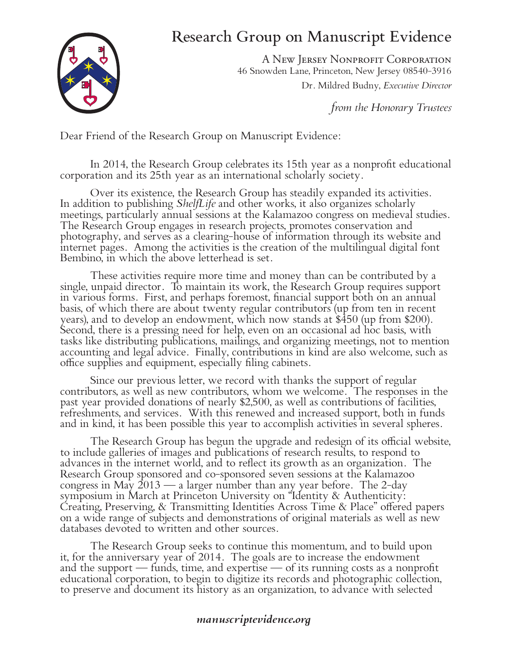## Research Group on Manuscript Evidence



A New Jersey Nonprofit Corporation 46 Snowden Lane, Princeton, New Jersey 08540-3916 Dr. Mildred Budny, *Executive Director*

*from the Honorary Trustees*

Dear Friend of the Research Group on Manuscript Evidence:

In 2014, the Research Group celebrates its 15th year as a nonprofit educational corporation and its 25th year as an international scholarly society.

Over its existence, the Research Group has steadily expanded its activities.<br>In addition to publishing *ShelfLife* and other works, it also organizes scholarly<br>meetings, particularly annual sessions at the Kalamazoo congre photography, and serves as a clearing-house of information through its website and internet pages. Among the activities is the creation of the multilingual digital font Bembino, in which the above letterhead is set.

These activities require more time and money than can be contributed by a single, unpaid director. To maintain its work, the Research Group requires support in various forms. First, and perhaps foremost, financial support both on an annual basis, of which there are about twenty regular contributors (up from ten in recent years), and to develop an endowment, which now stands at \$450 (up from \$200). Second, there is a pressing need for help, even on an occasional ad hoc basis, with tasks like distributing publications, mailings, and organizing meetings, not to mention accounting and legal advice. Finally, contributions in kind are also welcome, such as office supplies and equipment, especially filing cabinets.

Since our previous letter, we record with thanks the support of regular contributors, as well as new contributors, whom we welcome. The responses in the past year provided donations of nearly \$2,500, as well as contributions of facilities, refreshments, and services. With this renewed and increased support, both in funds and in kind, it has been possible this year to accomplish activities in several spheres.

The Research Group has begun the upgrade and redesign of its official website, to include galleries of images and publications of research results, to respond to advances in the internet world, and to reflect its growth as an organization. The Research Group sponsored and co-sponsored seven sessions at the Kalamazoo congress in May  $2013$  — a larger number than any year before. The 2-day symposium in March at Princeton University on "Identity & Authenticity: Creating, Preserving, & Transmitting Identities Across Time & Place" offered papers on a wide range of subjects and demonstrations of original materials as well as new databases devoted to written and other sources.

The Research Group seeks to continue this momentum, and to build upon it, for the anniversary year of 2014. The goals are to increase the endowment and the support — funds, time, and expertise — of its running costs as a nonprofit educational corporation, to begin to digitize its records and photographic collection, to preserve and document its history as an organization, to advance with selected

## *manuscriptevidence.org*